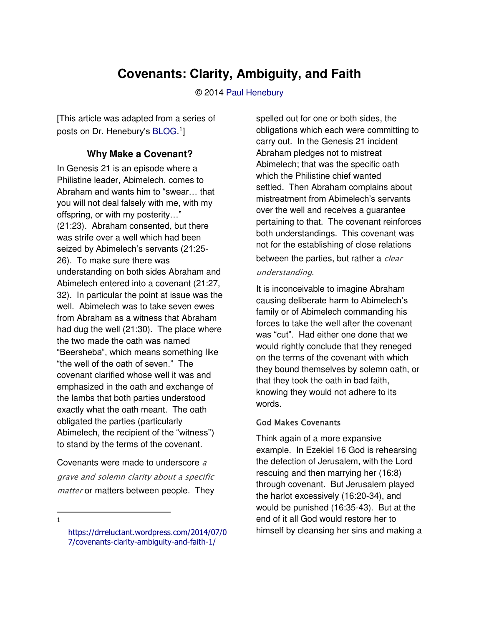# **Covenants: Clarity, Ambiguity, and Faith**

© 2014 [Paul Henebury](http://www.spiritandtruth.org/id/ph.htm) 

[This article was adapted from a series of posts on Dr. Henebury's [BLOG.](https://drreluctant.wordpress.com/2014/07/07/covenants-clarity-ambiguity-and-faith-1/)<sup>1</sup>]

#### **Why Make a Covenant?**

In Genesis 21 is an episode where a Philistine leader, Abimelech, comes to Abraham and wants him to "swear… that you will not deal falsely with me, with my offspring, or with my posterity…" (21:23). Abraham consented, but there was strife over a well which had been seized by Abimelech's servants (21:25- 26). To make sure there was understanding on both sides Abraham and Abimelech entered into a covenant (21:27, 32). In particular the point at issue was the well. Abimelech was to take seven ewes from Abraham as a witness that Abraham had dug the well (21:30). The place where the two made the oath was named "Beersheba", which means something like "the well of the oath of seven." The covenant clarified whose well it was and emphasized in the oath and exchange of the lambs that both parties understood exactly what the oath meant. The oath obligated the parties (particularly Abimelech, the recipient of the "witness") to stand by the terms of the covenant.

Covenants were made to underscore <sup>a</sup> grave and solemn clarity about a specific matter or matters between people. They

 $\overline{a}$ 1 spelled out for one or both sides, the obligations which each were committing to carry out. In the Genesis 21 incident Abraham pledges not to mistreat Abimelech; that was the specific oath which the Philistine chief wanted settled. Then Abraham complains about mistreatment from Abimelech's servants over the well and receives a guarantee pertaining to that. The covenant reinforces both understandings. This covenant was not for the establishing of close relations between the parties, but rather a clear understanding.

It is inconceivable to imagine Abraham causing deliberate harm to Abimelech's family or of Abimelech commanding his forces to take the well after the covenant was "cut". Had either one done that we would rightly conclude that they reneged on the terms of the covenant with which they bound themselves by solemn oath, or that they took the oath in bad faith, knowing they would not adhere to its words.

#### God Makes Covenants

Think again of a more expansive example. In Ezekiel 16 God is rehearsing the defection of Jerusalem, with the Lord rescuing and then marrying her (16:8) through covenant. But Jerusalem played the harlot excessively (16:20-34), and would be punished (16:35-43). But at the end of it all God would restore her to himself by cleansing her sins and making a

[https://drreluctant.wordpress.com/2014/07/0](https://drreluctant.wordpress.com/2014/07/07/covenants-clarity-ambiguity-and-faith-1/) [7/covenants-clarity-ambiguity-and-faith-1/](https://drreluctant.wordpress.com/2014/07/07/covenants-clarity-ambiguity-and-faith-1/)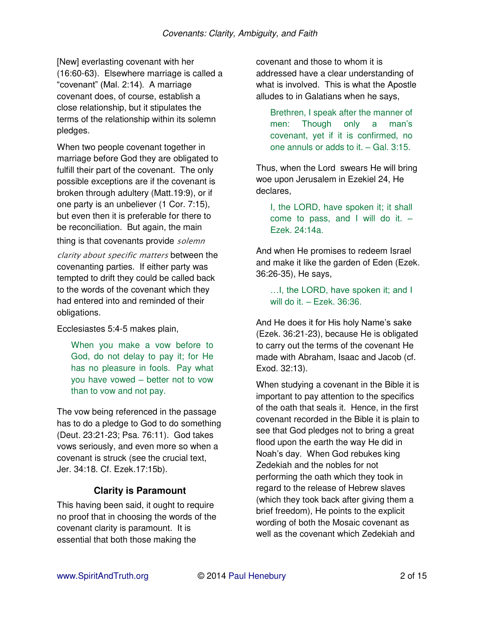[New] everlasting covenant with her (16:60-63). Elsewhere marriage is called a "covenant" (Mal. 2:14). A marriage covenant does, of course, establish a close relationship, but it stipulates the terms of the relationship within its solemn pledges.

When two people covenant together in marriage before God they are obligated to fulfill their part of the covenant. The only possible exceptions are if the covenant is broken through adultery (Matt.19:9), or if one party is an unbeliever (1 Cor. 7:15), but even then it is preferable for there to be reconciliation. But again, the main

thing is that covenants provide *solemn* 

clarity about specific matters between the covenanting parties. If either party was tempted to drift they could be called back to the words of the covenant which they had entered into and reminded of their obligations.

Ecclesiastes 5:4-5 makes plain,

When you make a vow before to God, do not delay to pay it; for He has no pleasure in fools. Pay what you have vowed – better not to vow than to vow and not pay.

The vow being referenced in the passage has to do a pledge to God to do something (Deut. 23:21-23; Psa. 76:11). God takes vows seriously, and even more so when a covenant is struck (see the crucial text, Jer. 34:18. Cf. Ezek.17:15b).

### **Clarity is Paramount**

This having been said, it ought to require no proof that in choosing the words of the covenant clarity is paramount. It is essential that both those making the

covenant and those to whom it is addressed have a clear understanding of what is involved. This is what the Apostle alludes to in Galatians when he says,

Brethren, I speak after the manner of men: Though only a man's covenant, yet if it is confirmed, no one annuls or adds to it. – Gal. 3:15.

Thus, when the Lord swears He will bring woe upon Jerusalem in Ezekiel 24, He declares,

I, the LORD, have spoken it; it shall come to pass, and I will do it.  $-$ Ezek. 24:14a.

And when He promises to redeem Israel and make it like the garden of Eden (Ezek. 36:26-35), He says,

…I, the LORD, have spoken it; and I will do it. – Ezek. 36:36.

And He does it for His holy Name's sake (Ezek. 36:21-23), because He is obligated to carry out the terms of the covenant He made with Abraham, Isaac and Jacob (cf. Exod. 32:13).

When studying a covenant in the Bible it is important to pay attention to the specifics of the oath that seals it. Hence, in the first covenant recorded in the Bible it is plain to see that God pledges not to bring a great flood upon the earth the way He did in Noah's day. When God rebukes king Zedekiah and the nobles for not performing the oath which they took in regard to the release of Hebrew slaves (which they took back after giving them a brief freedom), He points to the explicit wording of both the Mosaic covenant as well as the covenant which Zedekiah and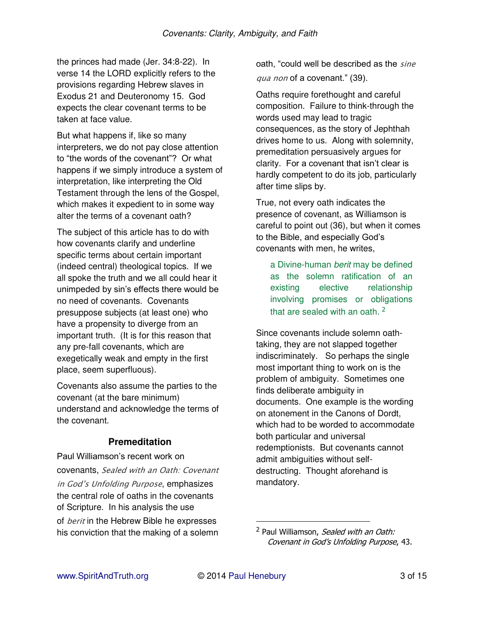the princes had made (Jer. 34:8-22). In verse 14 the LORD explicitly refers to the provisions regarding Hebrew slaves in Exodus 21 and Deuteronomy 15. God expects the clear covenant terms to be taken at face value.

But what happens if, like so many interpreters, we do not pay close attention to "the words of the covenant"? Or what happens if we simply introduce a system of interpretation, like interpreting the Old Testament through the lens of the Gospel, which makes it expedient to in some way alter the terms of a covenant oath?

The subject of this article has to do with how covenants clarify and underline specific terms about certain important (indeed central) theological topics. If we all spoke the truth and we all could hear it unimpeded by sin's effects there would be no need of covenants. Covenants presuppose subjects (at least one) who have a propensity to diverge from an important truth. (It is for this reason that any pre-fall covenants, which are exegetically weak and empty in the first place, seem superfluous).

Covenants also assume the parties to the covenant (at the bare minimum) understand and acknowledge the terms of the covenant.

### **Premeditation**

Paul Williamson's recent work on covenants, Sealed with an Oath: Covenant in God's Unfolding Purpose, emphasizes the central role of oaths in the covenants of Scripture. In his analysis the use of *berit* in the Hebrew Bible he expresses his conviction that the making of a solemn

oath, "could well be described as the sine qua non of a covenant." (39).

Oaths require forethought and careful composition. Failure to think-through the words used may lead to tragic consequences, as the story of Jephthah drives home to us. Along with solemnity, premeditation persuasively argues for clarity. For a covenant that isn't clear is hardly competent to do its job, particularly after time slips by.

True, not every oath indicates the presence of covenant, as Williamson is careful to point out (36), but when it comes to the Bible, and especially God's covenants with men, he writes,

a Divine-human *berit* may be defined as the solemn ratification of an existing elective relationship involving promises or obligations that are sealed with an oath.  $2$ 

Since covenants include solemn oathtaking, they are not slapped together indiscriminately. So perhaps the single most important thing to work on is the problem of ambiguity. Sometimes one finds deliberate ambiguity in documents. One example is the wording on atonement in the Canons of Dordt, which had to be worded to accommodate both particular and universal redemptionists. But covenants cannot admit ambiguities without selfdestructing. Thought aforehand is mandatory.

<sup>&</sup>lt;sup>2</sup> Paul Williamson, *Sealed with an Oath:* Covenant in God's Unfolding Purpose, 43.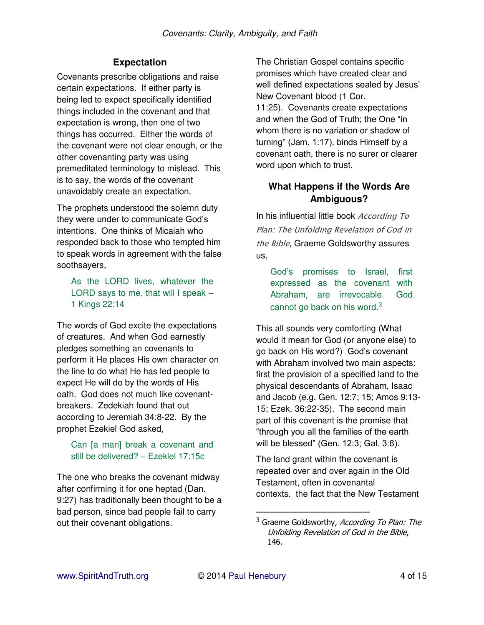### **Expectation**

Covenants prescribe obligations and raise certain expectations. If either party is being led to expect specifically identified things included in the covenant and that expectation is wrong, then one of two things has occurred. Either the words of the covenant were not clear enough, or the other covenanting party was using premeditated terminology to mislead. This is to say, the words of the covenant unavoidably create an expectation.

The prophets understood the solemn duty they were under to communicate God's intentions. One thinks of Micaiah who responded back to those who tempted him to speak words in agreement with the false soothsayers,

#### As the LORD lives, whatever the LORD says to me, that will I speak – 1 Kings 22:14

The words of God excite the expectations of creatures. And when God earnestly pledges something an covenants to perform it He places His own character on the line to do what He has led people to expect He will do by the words of His oath. God does not much like covenantbreakers. Zedekiah found that out according to Jeremiah 34:8-22. By the prophet Ezekiel God asked,

#### Can [a man] break a covenant and still be delivered? – Ezekiel 17:15c

The one who breaks the covenant midway after confirming it for one heptad (Dan. 9:27) has traditionally been thought to be a bad person, since bad people fail to carry out their covenant obligations.

The Christian Gospel contains specific promises which have created clear and well defined expectations sealed by Jesus' New Covenant blood (1 Cor. 11:25). Covenants create expectations and when the God of Truth; the One "in whom there is no variation or shadow of turning" (Jam. 1:17), binds Himself by a covenant oath, there is no surer or clearer word upon which to trust.

### **What Happens if the Words Are Ambiguous?**

In his influential little book *According To* Plan: The Unfolding Revelation of God in the Bible, Graeme Goldsworthy assures us,

God's promises to Israel, first expressed as the covenant with Abraham, are irrevocable. God cannot go back on his word. $3$ 

This all sounds very comforting (What would it mean for God (or anyone else) to go back on His word?) God's covenant with Abraham involved two main aspects: first the provision of a specified land to the physical descendants of Abraham, Isaac and Jacob (e.g. Gen. 12:7; 15; Amos 9:13- 15; Ezek. 36:22-35). The second main part of this covenant is the promise that "through you all the families of the earth will be blessed" (Gen. 12:3; Gal. 3:8).

The land grant within the covenant is repeated over and over again in the Old Testament, often in covenantal contexts. the fact that the New Testament

<sup>&</sup>lt;sup>3</sup> Graeme Goldsworthy, According To Plan: The Unfolding Revelation of God in the Bible, 146.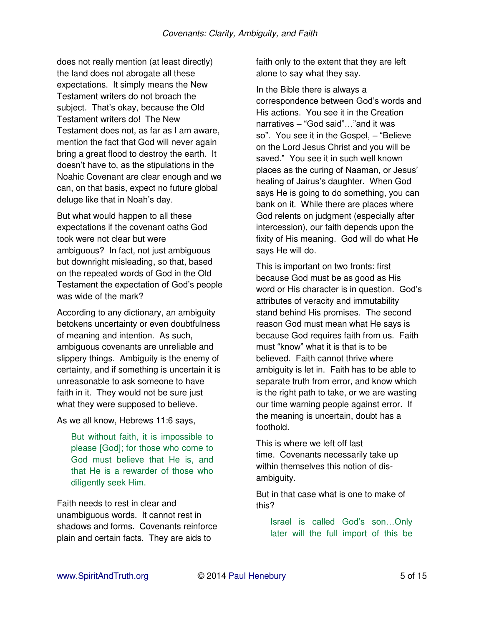does not really mention (at least directly) the land does not abrogate all these expectations. It simply means the New Testament writers do not broach the subject. That's okay, because the Old Testament writers do! The New Testament does not, as far as I am aware, mention the fact that God will never again bring a great flood to destroy the earth. It doesn't have to, as the stipulations in the Noahic Covenant are clear enough and we can, on that basis, expect no future global deluge like that in Noah's day.

But what would happen to all these expectations if the covenant oaths God took were not clear but were ambiguous? In fact, not just ambiguous but downright misleading, so that, based on the repeated words of God in the Old Testament the expectation of God's people was wide of the mark?

According to any dictionary, an ambiguity betokens uncertainty or even doubtfulness of meaning and intention. As such, ambiguous covenants are unreliable and slippery things. Ambiguity is the enemy of certainty, and if something is uncertain it is unreasonable to ask someone to have faith in it. They would not be sure just what they were supposed to believe.

As we all know, Hebrews 11:6 says,

But without faith, it is impossible to please [God]; for those who come to God must believe that He is, and that He is a rewarder of those who diligently seek Him.

Faith needs to rest in clear and unambiguous words. It cannot rest in shadows and forms. Covenants reinforce plain and certain facts. They are aids to

faith only to the extent that they are left alone to say what they say.

In the Bible there is always a correspondence between God's words and His actions. You see it in the Creation narratives – "God said"…"and it was so". You see it in the Gospel, – "Believe on the Lord Jesus Christ and you will be saved." You see it in such well known places as the curing of Naaman, or Jesus' healing of Jairus's daughter. When God says He is going to do something, you can bank on it. While there are places where God relents on judgment (especially after intercession), our faith depends upon the fixity of His meaning. God will do what He says He will do.

This is important on two fronts: first because God must be as good as His word or His character is in question. God's attributes of veracity and immutability stand behind His promises. The second reason God must mean what He says is because God requires faith from us. Faith must "know" what it is that is to be believed. Faith cannot thrive where ambiguity is let in. Faith has to be able to separate truth from error, and know which is the right path to take, or we are wasting our time warning people against error. If the meaning is uncertain, doubt has a foothold.

This is where we left off last time. Covenants necessarily take up within themselves this notion of disambiguity.

But in that case what is one to make of this?

Israel is called God's son…Only later will the full import of this be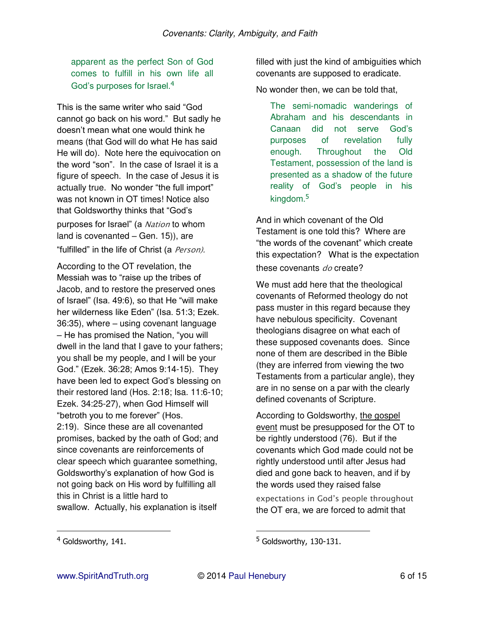apparent as the perfect Son of God comes to fulfill in his own life all God's purposes for Israel.<sup>4</sup>

This is the same writer who said "God cannot go back on his word." But sadly he doesn't mean what one would think he means (that God will do what He has said He will do). Note here the equivocation on the word "son". In the case of Israel it is a figure of speech. In the case of Jesus it is actually true. No wonder "the full import" was not known in OT times! Notice also that Goldsworthy thinks that "God's purposes for Israel" (a Nation to whom land is covenanted  $-$  Gen. 15)), are "fulfilled" in the life of Christ (a Person).

According to the OT revelation, the Messiah was to "raise up the tribes of Jacob, and to restore the preserved ones of Israel" (Isa. 49:6), so that He "will make her wilderness like Eden" (Isa. 51:3; Ezek. 36:35), where – using covenant language – He has promised the Nation, "you will dwell in the land that I gave to your fathers; you shall be my people, and I will be your God." (Ezek. 36:28; Amos 9:14-15). They have been led to expect God's blessing on their restored land (Hos. 2:18; Isa. 11:6-10; Ezek. 34:25-27), when God Himself will "betroth you to me forever" (Hos. 2:19). Since these are all covenanted promises, backed by the oath of God; and since covenants are reinforcements of clear speech which guarantee something, Goldsworthy's explanation of how God is not going back on His word by fulfilling all this in Christ is a little hard to swallow. Actually, his explanation is itself

filled with just the kind of ambiguities which covenants are supposed to eradicate.

No wonder then, we can be told that,

The semi-nomadic wanderings of Abraham and his descendants in Canaan did not serve God's purposes of revelation fully enough. Throughout the Old Testament, possession of the land is presented as a shadow of the future reality of God's people in his kingdom.<sup>5</sup>

And in which covenant of the Old Testament is one told this? Where are "the words of the covenant" which create this expectation? What is the expectation these covenants do create?

We must add here that the theological covenants of Reformed theology do not pass muster in this regard because they have nebulous specificity. Covenant theologians disagree on what each of these supposed covenants does. Since none of them are described in the Bible (they are inferred from viewing the two Testaments from a particular angle), they are in no sense on a par with the clearly defined covenants of Scripture.

According to Goldsworthy, the gospel event must be presupposed for the OT to be rightly understood (76). But if the covenants which God made could not be rightly understood until after Jesus had died and gone back to heaven, and if by the words used they raised false expectations in God's people throughout the OT era, we are forced to admit that

 $\overline{a}$ 

<sup>&</sup>lt;sup>4</sup> Goldsworthy, 141.

<sup>&</sup>lt;sup>5</sup> Goldsworthy, 130-131.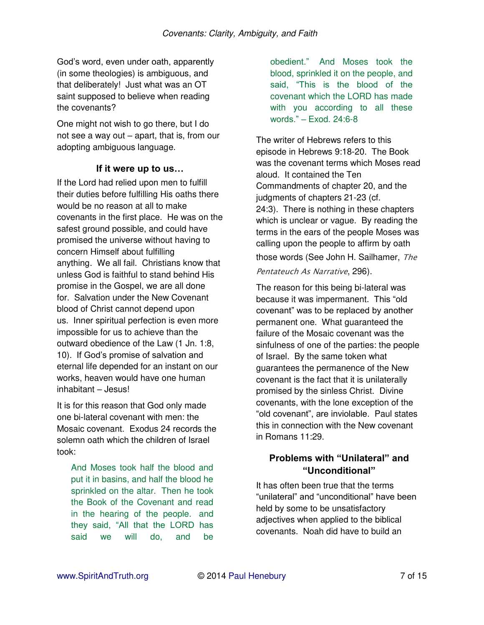God's word, even under oath, apparently (in some theologies) is ambiguous, and that deliberately! Just what was an OT saint supposed to believe when reading the covenants?

One might not wish to go there, but I do not see a way out – apart, that is, from our adopting ambiguous language.

#### **If it were up to us…**

If the Lord had relied upon men to fulfill their duties before fulfilling His oaths there would be no reason at all to make covenants in the first place. He was on the safest ground possible, and could have promised the universe without having to concern Himself about fulfilling anything. We all fail. Christians know that unless God is faithful to stand behind His promise in the Gospel, we are all done for. Salvation under the New Covenant blood of Christ cannot depend upon us. Inner spiritual perfection is even more impossible for us to achieve than the outward obedience of the Law (1 Jn. 1:8, 10). If God's promise of salvation and eternal life depended for an instant on our works, heaven would have one human inhabitant – Jesus!

It is for this reason that God only made one bi-lateral covenant with men: the Mosaic covenant. Exodus 24 records the solemn oath which the children of Israel took:

And Moses took half the blood and put it in basins, and half the blood he sprinkled on the altar. Then he took the Book of the Covenant and read in the hearing of the people. and they said, "All that the LORD has said we will do, and be

obedient." And Moses took the blood, sprinkled it on the people, and said, "This is the blood of the covenant which the LORD has made with you according to all these words." – Exod. 24:6-8

The writer of Hebrews refers to this episode in Hebrews 9:18-20. The Book was the covenant terms which Moses read aloud. It contained the Ten Commandments of chapter 20, and the judgments of chapters 21-23 (cf. 24:3). There is nothing in these chapters which is unclear or vague. By reading the terms in the ears of the people Moses was calling upon the people to affirm by oath those words (See John H. Sailhamer, The Pentateuch As Narrative, 296).

The reason for this being bi-lateral was because it was impermanent. This "old covenant" was to be replaced by another permanent one. What guaranteed the failure of the Mosaic covenant was the sinfulness of one of the parties: the people of Israel. By the same token what guarantees the permanence of the New covenant is the fact that it is unilaterally promised by the sinless Christ. Divine covenants, with the lone exception of the "old covenant", are inviolable. Paul states this in connection with the New covenant in Romans 11:29.

## **Problems with "Unilateral" and "Unconditional"**

It has often been true that the terms "unilateral" and "unconditional" have been held by some to be unsatisfactory adjectives when applied to the biblical covenants. Noah did have to build an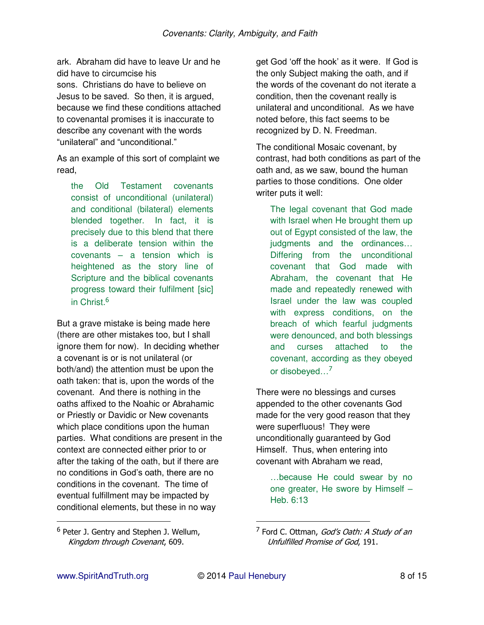ark. Abraham did have to leave Ur and he did have to circumcise his sons. Christians do have to believe on Jesus to be saved. So then, it is argued, because we find these conditions attached to covenantal promises it is inaccurate to describe any covenant with the words "unilateral" and "unconditional."

As an example of this sort of complaint we read,

the Old Testament covenants consist of unconditional (unilateral) and conditional (bilateral) elements blended together. In fact, it is precisely due to this blend that there is a deliberate tension within the covenants – a tension which is heightened as the story line of Scripture and the biblical covenants progress toward their fulfilment [sic] in Christ.<sup>6</sup>

But a grave mistake is being made here (there are other mistakes too, but I shall ignore them for now). In deciding whether a covenant is or is not unilateral (or both/and) the attention must be upon the oath taken: that is, upon the words of the covenant. And there is nothing in the oaths affixed to the Noahic or Abrahamic or Priestly or Davidic or New covenants which place conditions upon the human parties. What conditions are present in the context are connected either prior to or after the taking of the oath, but if there are no conditions in God's oath, there are no conditions in the covenant. The time of eventual fulfillment may be impacted by conditional elements, but these in no way

get God 'off the hook' as it were. If God is the only Subject making the oath, and if the words of the covenant do not iterate a condition, then the covenant really is unilateral and unconditional. As we have noted before, this fact seems to be recognized by D. N. Freedman.

The conditional Mosaic covenant, by contrast, had both conditions as part of the oath and, as we saw, bound the human parties to those conditions. One older writer puts it well:

The legal covenant that God made with Israel when He brought them up out of Egypt consisted of the law, the judgments and the ordinances… Differing from the unconditional covenant that God made with Abraham, the covenant that He made and repeatedly renewed with Israel under the law was coupled with express conditions, on the breach of which fearful judgments were denounced, and both blessings and curses attached to the covenant, according as they obeyed or disobeyed…<sup>7</sup>

There were no blessings and curses appended to the other covenants God made for the very good reason that they were superfluous! They were unconditionally guaranteed by God Himself. Thus, when entering into covenant with Abraham we read,

…because He could swear by no one greater, He swore by Himself – Heb. 6:13

 $\overline{a}$ 

<sup>&</sup>lt;sup>6</sup> Peter J. Gentry and Stephen J. Wellum, Kingdom through Covenant, 609.

<sup>&</sup>lt;sup>7</sup> Ford C. Ottman, *God's Oath: A Study of an* Unfulfilled Promise of God, 191.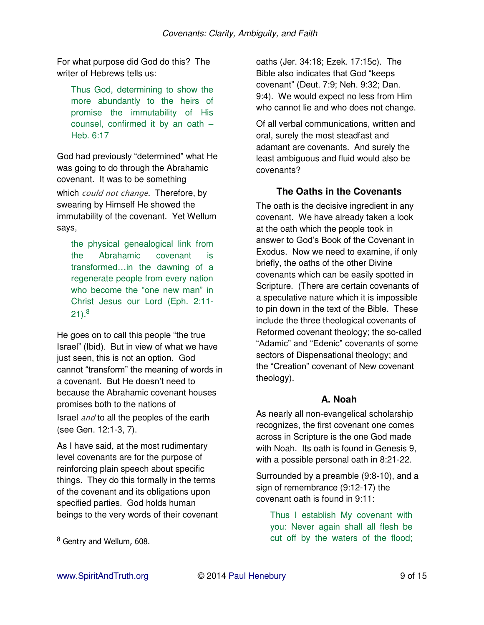For what purpose did God do this? The writer of Hebrews tells us:

Thus God, determining to show the more abundantly to the heirs of promise the immutability of His counsel, confirmed it by an oath – Heb. 6:17

God had previously "determined" what He was going to do through the Abrahamic covenant. It was to be something

which *could not change*. Therefore, by swearing by Himself He showed the immutability of the covenant. Yet Wellum says,

the physical genealogical link from the Abrahamic covenant is transformed…in the dawning of a regenerate people from every nation who become the "one new man" in Christ Jesus our Lord (Eph. 2:11- 21). $^8$ 

He goes on to call this people "the true Israel" (Ibid). But in view of what we have just seen, this is not an option. God cannot "transform" the meaning of words in a covenant. But He doesn't need to because the Abrahamic covenant houses promises both to the nations of Israel and to all the peoples of the earth (see Gen. 12:1-3, 7).

As I have said, at the most rudimentary level covenants are for the purpose of reinforcing plain speech about specific things. They do this formally in the terms of the covenant and its obligations upon specified parties. God holds human beings to the very words of their covenant oaths (Jer. 34:18; Ezek. 17:15c). The Bible also indicates that God "keeps covenant" (Deut. 7:9; Neh. 9:32; Dan. 9:4). We would expect no less from Him who cannot lie and who does not change.

Of all verbal communications, written and oral, surely the most steadfast and adamant are covenants. And surely the least ambiguous and fluid would also be covenants?

### **The Oaths in the Covenants**

The oath is the decisive ingredient in any covenant. We have already taken a look at the oath which the people took in answer to God's Book of the Covenant in Exodus. Now we need to examine, if only briefly, the oaths of the other Divine covenants which can be easily spotted in Scripture. (There are certain covenants of a speculative nature which it is impossible to pin down in the text of the Bible. These include the three theological covenants of Reformed covenant theology; the so-called "Adamic" and "Edenic" covenants of some sectors of Dispensational theology; and the "Creation" covenant of New covenant theology).

### **A. Noah**

As nearly all non-evangelical scholarship recognizes, the first covenant one comes across in Scripture is the one God made with Noah. Its oath is found in Genesis 9. with a possible personal oath in 8:21-22.

Surrounded by a preamble (9:8-10), and a sign of remembrance (9:12-17) the covenant oath is found in 9:11:

Thus I establish My covenant with you: Never again shall all flesh be cut off by the waters of the flood;

<sup>&</sup>lt;sup>8</sup> Gentry and Wellum, 608.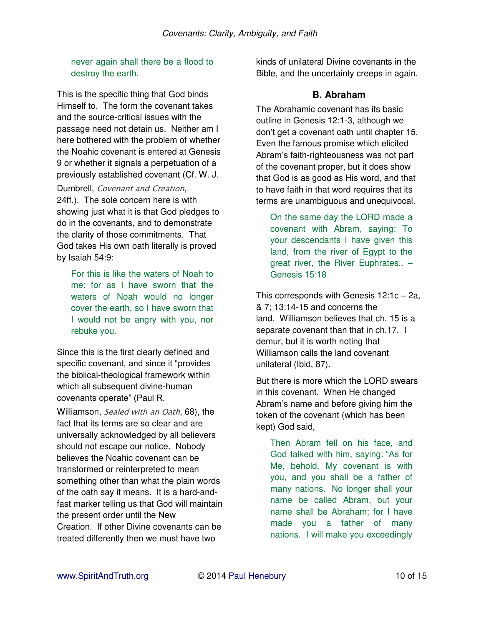never again shall there be a flood to destroy the earth.

This is the specific thing that God binds Himself to. The form the covenant takes and the source-critical issues with the passage need not detain us. Neither am I here bothered with the problem of whether the Noahic covenant is entered at Genesis 9 or whether it signals a perpetuation of a previously established covenant (Cf. W. J.

Dumbrell, Covenant and Creation, 24ff.). The sole concern here is with

showing just what it is that God pledges to do in the covenants, and to demonstrate the clarity of those commitments. That God takes His own oath literally is proved by Isaiah 54:9:

For this is like the waters of Noah to me; for as I have sworn that the waters of Noah would no longer cover the earth, so I have sworn that I would not be angry with you, nor rebuke you.

Since this is the first clearly defined and specific covenant, and since it "provides the biblical-theological framework within which all subsequent divine-human covenants operate" (Paul R.

Williamson, Sealed with an Oath, 68), the fact that its terms are so clear and are universally acknowledged by all believers should not escape our notice. Nobody believes the Noahic covenant can be transformed or reinterpreted to mean something other than what the plain words of the oath say it means. It is a hard-andfast marker telling us that God will maintain the present order until the New Creation. If other Divine covenants can be treated differently then we must have two

kinds of unilateral Divine covenants in the Bible, and the uncertainty creeps in again.

### **B. Abraham**

The Abrahamic covenant has its basic outline in Genesis 12:1-3, although we don't get a covenant oath until chapter 15. Even the famous promise which elicited Abram's faith-righteousness was not part of the covenant proper, but it does show that God is as good as His word, and that to have faith in that word requires that its terms are unambiguous and unequivocal.

On the same day the LORD made a covenant with Abram, saying: To your descendants I have given this land, from the river of Egypt to the great river, the River Euphrates.. – Genesis 15:18

This corresponds with Genesis 12:1c – 2a, & 7; 13:14-15 and concerns the land. Williamson believes that ch. 15 is a separate covenant than that in ch.17. I demur, but it is worth noting that Williamson calls the land covenant unilateral (Ibid, 87).

But there is more which the LORD swears in this covenant. When He changed Abram's name and before giving him the token of the covenant (which has been kept) God said,

Then Abram fell on his face, and God talked with him, saying: "As for Me, behold, My covenant is with you, and you shall be a father of many nations. No longer shall your name be called Abram, but your name shall be Abraham; for I have made you a father of many nations. I will make you exceedingly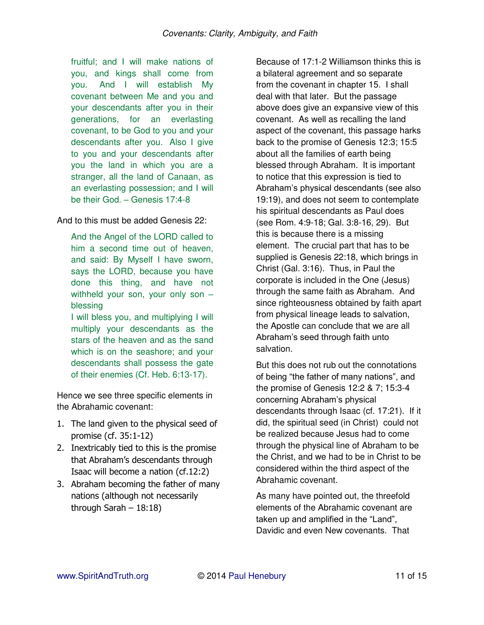fruitful; and I will make nations of you, and kings shall come from you. And I will establish My covenant between Me and you and your descendants after you in their generations, for an everlasting covenant, to be God to you and your descendants after you. Also I give to you and your descendants after you the land in which you are a stranger, all the land of Canaan, as an everlasting possession; and I will be their God. – Genesis 17:4-8

And to this must be added Genesis 22:

And the Angel of the LORD called to him a second time out of heaven, and said: By Myself I have sworn, says the LORD, because you have done this thing, and have not withheld your son, your only son – blessing

I will bless you, and multiplying I will multiply your descendants as the stars of the heaven and as the sand which is on the seashore; and your descendants shall possess the gate of their enemies (Cf. Heb. 6:13-17).

Hence we see three specific elements in the Abrahamic covenant:

- 1. The land given to the physical seed of promise (cf. 35:1-12)
- 2. Inextricably tied to this is the promise that Abraham's descendants through Isaac will become a nation (cf.12:2)
- 3. Abraham becoming the father of many nations (although not necessarily through Sarah – 18:18)

Because of 17:1-2 Williamson thinks this is a bilateral agreement and so separate from the covenant in chapter 15. I shall deal with that later. But the passage above does give an expansive view of this covenant. As well as recalling the land aspect of the covenant, this passage harks back to the promise of Genesis 12:3; 15:5 about all the families of earth being blessed through Abraham. It is important to notice that this expression is tied to Abraham's physical descendants (see also 19:19), and does not seem to contemplate his spiritual descendants as Paul does (see Rom. 4:9-18; Gal. 3:8-16, 29). But this is because there is a missing element. The crucial part that has to be supplied is Genesis 22:18, which brings in Christ (Gal. 3:16). Thus, in Paul the corporate is included in the One (Jesus) through the same faith as Abraham. And since righteousness obtained by faith apart from physical lineage leads to salvation, the Apostle can conclude that we are all Abraham's seed through faith unto salvation.

But this does not rub out the connotations of being "the father of many nations", and the promise of Genesis 12:2 & 7; 15:3-4 concerning Abraham's physical descendants through Isaac (cf. 17:21). If it did, the spiritual seed (in Christ) could not be realized because Jesus had to come through the physical line of Abraham to be the Christ, and we had to be in Christ to be considered within the third aspect of the Abrahamic covenant.

As many have pointed out, the threefold elements of the Abrahamic covenant are taken up and amplified in the "Land", Davidic and even New covenants. That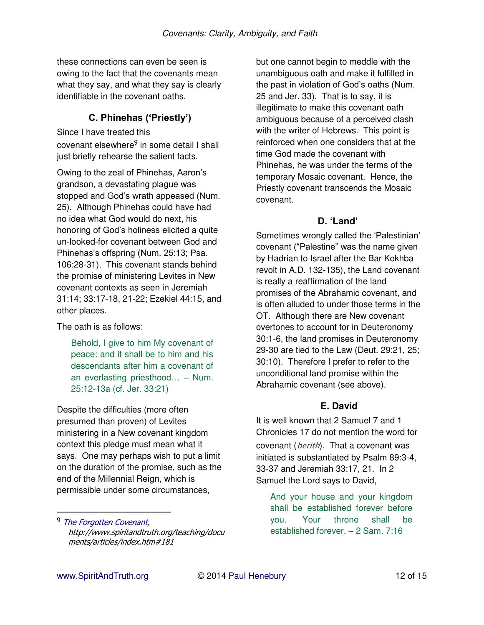these connections can even be seen is owing to the fact that the covenants mean what they say, and what they say is clearly identifiable in the covenant oaths.

## **C. Phinehas ('Priestly')**

Since I have treated this covenant [elsewhere](http://www.spiritandtruth.org/teaching/documents/articles/index.htm#181)<sup>9</sup> in some detail I shall just briefly rehearse the salient facts.

Owing to the zeal of Phinehas, Aaron's grandson, a devastating plague was stopped and God's wrath appeased (Num. 25). Although Phinehas could have had no idea what God would do next, his honoring of God's holiness elicited a quite un-looked-for covenant between God and Phinehas's offspring (Num. 25:13; Psa. 106:28-31). This covenant stands behind the promise of ministering Levites in New covenant contexts as seen in Jeremiah 31:14; 33:17-18, 21-22; Ezekiel 44:15, and other places.

The oath is as follows:

Behold, I give to him My covenant of peace: and it shall be to him and his descendants after him a covenant of an everlasting priesthood… – Num. 25:12-13a (cf. Jer. 33:21)

Despite the difficulties (more often presumed than proven) of Levites ministering in a New covenant kingdom context this pledge must mean what it says. One may perhaps wish to put a limit on the duration of the promise, such as the end of the Millennial Reign, which is permissible under some circumstances,

but one cannot begin to meddle with the unambiguous oath and make it fulfilled in the past in violation of God's oaths (Num. 25 and Jer. 33). That is to say, it is illegitimate to make this covenant oath ambiguous because of a perceived clash with the writer of Hebrews. This point is reinforced when one considers that at the time God made the covenant with Phinehas, he was under the terms of the temporary Mosaic covenant. Hence, the Priestly covenant transcends the Mosaic covenant.

### **D. 'Land'**

Sometimes wrongly called the 'Palestinian' covenant ("Palestine" was the name given by Hadrian to Israel after the Bar Kokhba revolt in A.D. 132-135), the Land covenant is really a reaffirmation of the land promises of the Abrahamic covenant, and is often alluded to under those terms in the OT. Although there are New covenant overtones to account for in Deuteronomy 30:1-6, the land promises in Deuteronomy 29-30 are tied to the Law (Deut. 29:21, 25; 30:10). Therefore I prefer to refer to the unconditional land promise within the Abrahamic covenant (see above).

## **E. David**

It is well known that 2 Samuel 7 and 1 Chronicles 17 do not mention the word for covenant (*berith*). That a covenant was initiated is substantiated by Psalm 89:3-4, 33-37 and Jeremiah 33:17, 21. In 2 Samuel the Lord says to David,

And your house and your kingdom shall be established forever before you. Your throne shall be established forever. – 2 Sam. 7:16

<sup>&</sup>lt;sup>9</sup> [The Forgotten Covenant,](http://www.spiritandtruth.org/teaching/documents/articles/index.htm#181) http://www.spiritandtruth.org/teaching/docu ments/articles/index.htm#181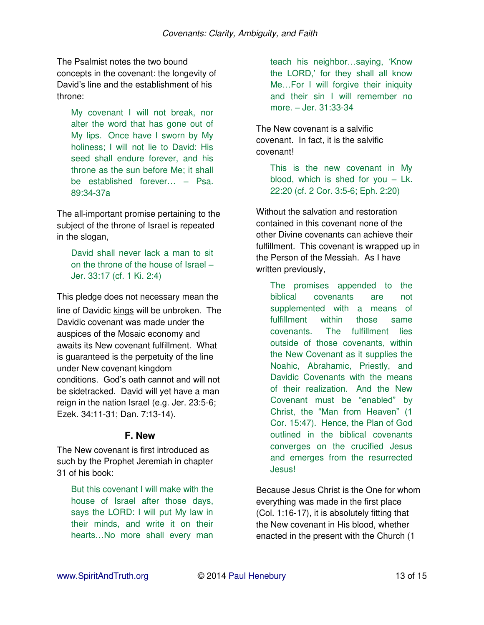The Psalmist notes the two bound concepts in the covenant: the longevity of David's line and the establishment of his throne:

My covenant I will not break, nor alter the word that has gone out of My lips. Once have I sworn by My holiness; I will not lie to David: His seed shall endure forever, and his throne as the sun before Me; it shall be established forever… – Psa. 89:34-37a

The all-important promise pertaining to the subject of the throne of Israel is repeated in the slogan,

David shall never lack a man to sit on the throne of the house of Israel – Jer. 33:17 (cf. 1 Ki. 2:4)

This pledge does not necessary mean the line of Davidic kings will be unbroken. The Davidic covenant was made under the auspices of the Mosaic economy and awaits its New covenant fulfillment. What is guaranteed is the perpetuity of the line under New covenant kingdom conditions. God's oath cannot and will not be sidetracked. David will yet have a man reign in the nation Israel (e.g. Jer. 23:5-6; Ezek. 34:11-31; Dan. 7:13-14).

#### **F. New**

The New covenant is first introduced as such by the Prophet Jeremiah in chapter 31 of his book:

But this covenant I will make with the house of Israel after those days, says the LORD: I will put My law in their minds, and write it on their hearts…No more shall every man teach his neighbor…saying, 'Know the LORD,' for they shall all know Me…For I will forgive their iniquity and their sin I will remember no more. – Jer. 31:33-34

The New covenant is a salvific covenant. In fact, it is the salvific covenant!

> This is the new covenant in My blood, which is shed for you – Lk. 22:20 (cf. 2 Cor. 3:5-6; Eph. 2:20)

Without the salvation and restoration contained in this covenant none of the other Divine covenants can achieve their fulfillment. This covenant is wrapped up in the Person of the Messiah. As I have written previously,

The promises appended to the biblical covenants are not supplemented with a means of fulfillment within those same covenants. The fulfillment lies outside of those covenants, within the New Covenant as it supplies the Noahic, Abrahamic, Priestly, and Davidic Covenants with the means of their realization. And the New Covenant must be "enabled" by Christ, the "Man from Heaven" (1 Cor. 15:47). Hence, the Plan of God outlined in the biblical covenants converges on the crucified Jesus and emerges from the resurrected Jesus!

Because Jesus Christ is the One for whom everything was made in the first place (Col. 1:16-17), it is absolutely fitting that the New covenant in His blood, whether enacted in the present with the Church (1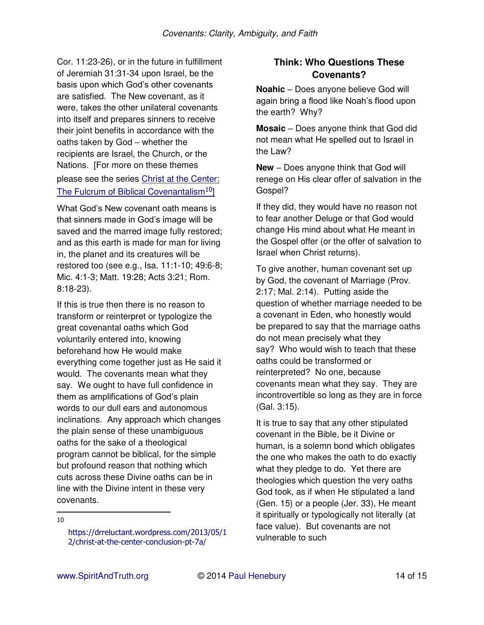Cor. 11:23-26), or in the future in fulfillment of Jeremiah 31:31-34 upon Israel, be the basis upon which God's other covenants are satisfied. The New covenant, as it were, takes the other unilateral covenants into itself and prepares sinners to receive their joint benefits in accordance with the oaths taken by God – whether the recipients are Israel, the Church, or the Nations. [For more on these themes please see the series [Christ at the Center:](https://drreluctant.wordpress.com/2013/05/12/christ-at-the-center-conclusion-pt-7a/)  [The Fulcrum of Biblical Covenantalism](https://drreluctant.wordpress.com/2013/05/12/christ-at-the-center-conclusion-pt-7a/)<sup>10</sup>

What God's New covenant oath means is that sinners made in God's image will be saved and the marred image fully restored; and as this earth is made for man for living in, the planet and its creatures will be restored too (see e.g., Isa. 11:1-10; 49:6-8; Mic. 4:1-3; Matt. 19:28; Acts 3:21; Rom. 8:18-23).

If this is true then there is no reason to transform or reinterpret or typologize the great covenantal oaths which God voluntarily entered into, knowing beforehand how He would make everything come together just as He said it would. The covenants mean what they say. We ought to have full confidence in them as amplifications of God's plain words to our dull ears and autonomous inclinations. Any approach which changes the plain sense of these unambiguous oaths for the sake of a theological program cannot be biblical, for the simple but profound reason that nothing which cuts across these Divine oaths can be in line with the Divine intent in these very covenants.

 $\overline{a}$ 10

### **Think: Who Questions These Covenants?**

**Noahic** – Does anyone believe God will again bring a flood like Noah's flood upon the earth? Why?

**Mosaic** – Does anyone think that God did not mean what He spelled out to Israel in the Law?

**New** – Does anyone think that God will renege on His clear offer of salvation in the Gospel?

If they did, they would have no reason not to fear another Deluge or that God would change His mind about what He meant in the Gospel offer (or the offer of salvation to Israel when Christ returns).

To give another, human covenant set up by God, the covenant of Marriage (Prov. 2:17; Mal. 2:14). Putting aside the question of whether marriage needed to be a covenant in Eden, who honestly would be prepared to say that the marriage oaths do not mean precisely what they say? Who would wish to teach that these oaths could be transformed or reinterpreted? No one, because covenants mean what they say. They are incontrovertible so long as they are in force (Gal. 3:15).

It is true to say that any other stipulated covenant in the Bible, be it Divine or human, is a solemn bond which obligates the one who makes the oath to do exactly what they pledge to do. Yet there are theologies which question the very oaths God took, as if when He stipulated a land (Gen. 15) or a people (Jer. 33), He meant it spiritually or typologically not literally (at face value). But covenants are not vulnerable to such

[https://drreluctant.wordpress.com/2013/05/1](https://drreluctant.wordpress.com/2013/05/12/christ-at-the-center-conclusion-pt-7a/) [2/christ-at-the-center-conclusion-pt-7a/](https://drreluctant.wordpress.com/2013/05/12/christ-at-the-center-conclusion-pt-7a/)